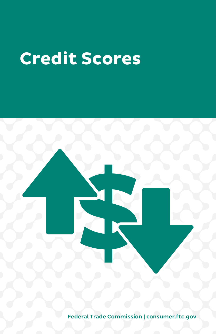# **Credit Scores**



Federal Trade Commission | consumer.[ftc.gov](http://www.ftc.gov)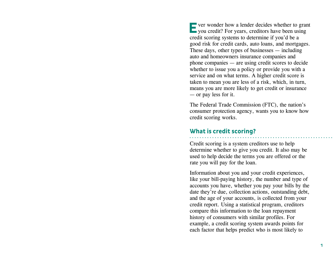**E** ver wonder how a lender decides whether to grant you credit? For years, creditors have been using credit scoring systems to determine if you'd be a good risk for credit cards, auto loans, and mortgages. These days, other types of businesses — including auto and homeowners insurance companies and phone companies — are using credit scores to decide whether to issue you a policy or provide you with a service and on what terms. A higher credit score is taken to mean you are less of a risk, which, in turn, means you are more likely to get credit or insurance — or pay less for it.

The Federal Trade Commission (FTC), the nation's consumer protection agency, wants you to know how credit scoring works.

#### **What is credit scoring?**

Credit scoring is a system creditors use to help determine whether to give you credit. It also may be used to help decide the terms you are offered or the rate you will pay for the loan.

Information about you and your credit experiences, like your bill-paying history, the number and type of accounts you have, whether you pay your bills by the date they're due, collection actions, outstanding debt, and the age of your accounts, is collected from your credit report. Using a statistical program, creditors compare this information to the loan repayment history of consumers with similar profiles. For example, a credit scoring system awards points for each factor that helps predict who is most likely to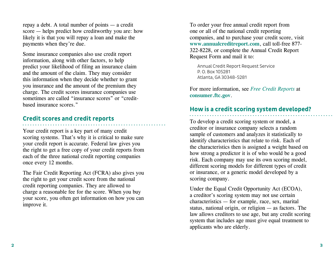repay a debt. A total number of points — a credit score — helps predict how creditworthy you are: how likely it is that you will repay a loan and make the payments when they're due.

Some insurance companies also use credit report information, along with other factors, to help predict your likelihood of filing an insurance claim and the amount of the claim. They may consider this information when they decide whether to grant you insurance and the amount of the premium they charge. The credit scores insurance companies use sometimes are called "insurance scores" or "creditbased insurance scores."

#### **Credit scores and credit reports**

Your credit report is a key part of many credit scoring systems. That's why it is critical to make sure your credit report is accurate. Federal law gives you the right to get a free copy of your credit reports from each of the three national credit reporting companies once every 12 months.

The Fair Credit Reporting Act (FCRA) also gives you the right to get your credit score from the national credit reporting companies. They are allowed to charge a reasonable fee for the score. When you buy your score, you often get information on how you can improve it.

To order your free annual credit report from one or all of the national credit reporting companies, and to purchase your credit score, visit **www.annualcreditreport.com**, call toll-free 877- 322-8228, or complete the Annual Credit Report Request Form and mail it to:

Annual Credit Report Request Service P. O. Box 105281 Atlanta, GA 30348-5281

For more information, see *Free Credit Reports* at **consumer.ftc.gov** .

## **How is a credit scoring system developed?**

To develop a credit scoring system or model, a creditor or insurance company selects a random sample of customers and analyzes it statistically to identify characteristics that relate to risk. Each of the characteristics then is assigned a weight based on how strong a predictor it is of who would be a good risk. Each company may use its own scoring model, different scoring models for different types of credit or insurance, or a generic model developed by a scoring company.

Under the Equal Credit Opportunity Act (ECOA), a creditor's scoring system may not use certain characteristics — for example, race, sex, marital status, national origin, or religion — as factors. The law allows creditors to use age, but any credit scoring system that includes age must give equal treatment to applicants who are elderly.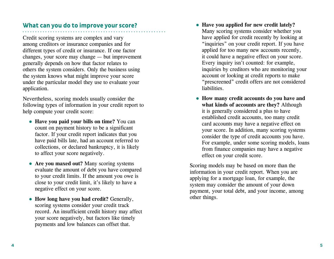## **What can you do to improve your score?**

Credit scoring systems are complex and vary among creditors or insurance companies and for different types of credit or insurance. If one factor changes, your score may change — but improvement generally depends on how that factor relates to others the system considers. Only the business using the system knows what might improve your score under the particular model they use to evaluate your application.

Nevertheless, scoring models usually consider the following types of information in your credit report to help compute your credit score:

- **Have you paid your bills on time?** You can count on payment history to be a significant factor. If your credit report indicates that you have paid bills late, had an account referred to collections, or declared bankruptcy, it is likely to affect your score negatively.
- Are you maxed out? Many scoring systems evaluate the amount of debt you have compared to your credit limits. If the amount you owe is close to your credit limit, it's likely to have a negative effect on your score.
- **How long have you had credit?** Generally, scoring systems consider your credit track record. An insufficient credit history may affect your score negatively, but factors like timely payments and low balances can offset that.
- **Have you applied for new credit lately?**  Many scoring systems consider whether you have applied for credit recently by looking at "inquiries" on your credit report. If you have applied for too many new accounts recently, it could have a negative effect on your score. Every inquiry isn't counted: for example, inquiries by creditors who are monitoring your account or looking at credit reports to make "prescreened" credit offers are not considered **liabilities**
- **How many credit accounts do you have and what kinds of accounts are they?** Although it is generally considered a plus to have established credit accounts, too many credit card accounts may have a negative effect on your score. In addition, many scoring systems consider the type of credit accounts you have. For example, under some scoring models, loans from finance companies may have a negative effect on your credit score.

Scoring models may be based on more than the information in your credit report. When you are applying for a mortgage loan, for example, the system may consider the amount of your down payment, your total debt, and your income, among other things.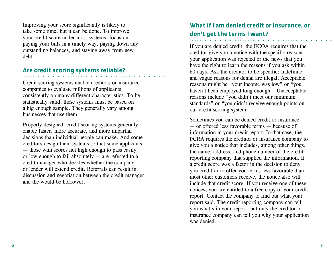Improving your score significantly is likely to take some time, but it can be done. To improve your credit score under most systems, focus on paying your bills in a timely way, paying down any outstanding balances, and staying away from new debt.

## **Are credit scoring systems reliable?**

Credit scoring systems enable creditors or insurance companies to evaluate millions of applicants consistently on many different characteristics. To be statistically valid, these systems must be based on a big enough sample. They generally vary among businesses that use them.

Properly designed, credit scoring systems generally enable faster, more accurate, and more impartial decisions than individual people can make. And some creditors design their systems so that some applicants — those with scores not high enough to pass easily or low enough to fail absolutely — are referred to a credit manager who decides whether the company or lender will extend credit. Referrals can result in discussion and negotiation between the credit manager and the would-be borrower.

## **What if I am denied credit or insurance, or don't get the terms I want?**

If you are denied credit, the ECOA requires that the creditor give you a notice with the specific reasons your application was rejected or the news that you have the right to learn the reasons if you ask within 60 days. Ask the creditor to be specific: Indefinite and vague reasons for denial are illegal. Acceptable reasons might be "your income was low" or "you haven't been employed long enough." Unacceptable reasons include "you didn't meet our minimum standards" or "you didn't receive enough points on our credit scoring system."

Sometimes you can be denied credit or insurance — or offered less favorable terms — because of information in your credit report. In that case, the FCRA requires the creditor or insurance company to give you a notice that includes, among other things, the name, address, and phone number of the credit reporting company that supplied the information. If a credit score was a factor in the decision to deny you credit or to offer you terms less favorable than most other customers receive, the notice also will include that credit score. If you receive one of these notices, you are entitled to a free copy of your credit report. Contact the company to find out what your report said. The credit reporting company can tell you what's in your report, but only the creditor or insurance company can tell you why your application was denied.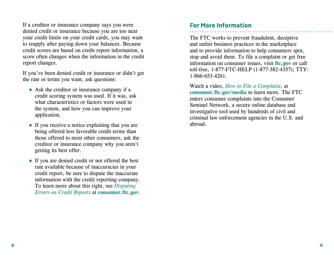If a creditor or insurance company says you were denied credit or insurance because you are too near your credit limits on your credit cards, you may want to reapply after paying down your balances. Because credit scores are based on credit report information, a score often changes when the information in the credit report changes.

If you've been denied credit or insurance or didn't get the rate or terms you want, ask questions:

- Ask the creditor or insurance company if a credit scoring system was used. If it was, ask what characteristics or factors were used in the system, and how you can improve your application.
- If you receive a notice explaining that you are being offered less favorable credit terms than those offered to most other consumers, ask the creditor or insurance company why you aren't getting its best offer.
- If you are denied credit or not offered the best rate available because of inaccuracies in your credit report, be sure to dispute the inaccurate information with the credit reporting company. To learn more about this right, see *Disputing Errors on Credit Reports* at **consumer.ftc.gov**.

## **For More Information**

The FTC works to prevent fraudulent, deceptive and unfair business practices in the marketplace and to provide information to help consumers spot, stop and avoid them. To file a complaint or get free information on consumer issues, visit **ftc.gov** or call toll-free, 1-877-FTC-HELP (1-877-382-4357); TTY: 1-866-653-4261.

Watch a video, *How to File a Complaint*, at **consumer.ftc.gov/media** to learn more. The FTC enters consumer complaints into the Consumer Sentinel Network, a secure online database and investigative tool used by hundreds of civil and criminal law enforcement agencies in the U.S. and abroad.